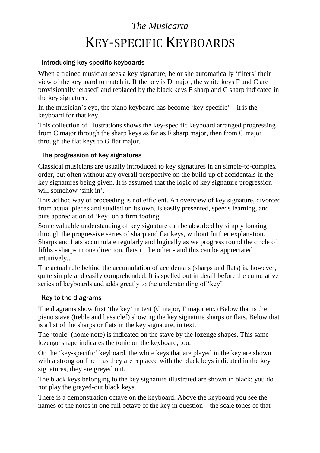# *The Musicarta* KEY-SPECIFIC KEYBOARDS

#### Introducing key-specific keyboards

When a trained musician sees a key signature, he or she automatically 'filters' their view of the keyboard to match it. If the key is D major, the white keys F and C are provisionally 'erased' and replaced by the black keys F sharp and C sharp indicated in the key signature.

In the musician's eye, the piano keyboard has become 'key-specific'  $-$  it is the keyboard for that key.

This collection of illustrations shows the key-specific keyboard arranged progressing from C major through the sharp keys as far as F sharp major, then from C major through the flat keys to G flat major.

#### The progression of key signatures

Classical musicians are usually introduced to key signatures in an simple-to-complex order, but often without any overall perspective on the build-up of accidentals in the key signatures being given. It is assumed that the logic of key signature progression will somehow 'sink in'.

This ad hoc way of proceeding is not efficient. An overview of key signature, divorced from actual pieces and studied on its own, is easily presented, speeds learning, and puts appreciation of 'key' on a firm footing.

Some valuable understanding of key signature can be absorbed by simply looking through the progressive series of sharp and flat keys, without further explanation. Sharps and flats accumulate regularly and logically as we progress round the circle of fifths - sharps in one direction, flats in the other - and this can be appreciated intuitively..

The actual rule behind the accumulation of accidentals (sharps and flats) is, however, quite simple and easily comprehended. It is spelled out in detail before the cumulative series of keyboards and adds greatly to the understanding of 'key'.

### Key to the diagrams

The diagrams show first 'the key' in text (C major, F major etc.) Below that is the piano stave (treble and bass clef) showing the key signature sharps or flats. Below that is a list of the sharps or flats in the key signature, in text.

The 'tonic' (home note) is indicated on the stave by the lozenge shapes. This same lozenge shape indicates the tonic on the keyboard, too.

On the 'key-specific' keyboard, the white keys that are played in the key are shown with a strong outline – as they are replaced with the black keys indicated in the key signatures, they are greyed out.

The black keys belonging to the key signature illustrated are shown in black; you do not play the greyed-out black keys.

There is a demonstration octave on the keyboard. Above the keyboard you see the names of the notes in one full octave of the key in question – the scale tones of that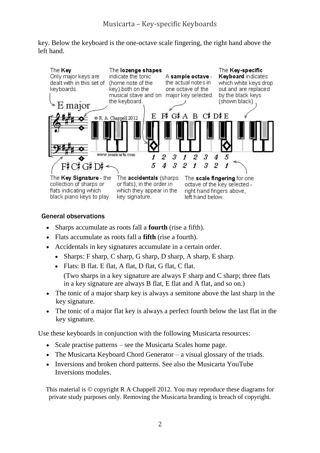key. Below the keyboard is the one-octave scale fingering, the right hand above the left hand.



#### General observations

- Sharps accumulate as roots fall a **fourth** (rise a fifth).
- Flats accumulate as roots fall a **fifth** (rise a fourth).
- Accidentals in key signatures accumulate in a certain order.
	- Sharps: F sharp, C sharp, G sharp, D sharp, A sharp, E sharp.
	- Flats: B flat. E flat, A flat, D flat, G flat, C flat.

(Two sharps in a key signature are always F sharp and C sharp; three flats in a key signature are always B flat, E flat and A flat, and so on.)

- The tonic of a major sharp key is always a semitone above the last sharp in the key signature.
- The tonic of a major flat key is always a perfect fourth below the last flat in the key signature.

Use these keyboards in conjunction with the following Musicarta resources:

- Scale practise patterns see the Musicarta [Scales home page.](http://www.musicarta.com/musical_scales.html)
- The Musicarta [Keyboard Chord Generator](http://www.musicarta.com/chord-finder.html) a visual glossary of the triads.
- [Inversions](http://www.musicarta.com/keyboard-chords.html) and [broken chord patterns.](http://www.musicarta.com/keyboard-chords_BCP_1.html) See also the Musicarta YouTube [Inversions modules.](http://youtu.be/wMQhqpdlaKI)

This material is © copyright R A Chappell 2012. You may reproduce these diagrams for private study purposes only. Removing the Musicarta branding is breach of copyright.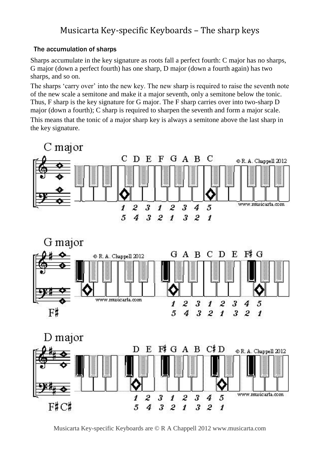# Musicarta Key-specific Keyboards – The sharp keys

## The accumulation of sharps

Sharps accumulate in the key signature as roots fall a perfect fourth: C major has no sharps, G major (down a perfect fourth) has one sharp, D major (down a fourth again) has two sharps, and so on.

The sharps 'carry over' into the new key. The new sharp is required to raise the seventh note of the new scale a semitone and make it a major seventh, only a semitone below the tonic. Thus, F sharp is the key signature for G major. The F sharp carries over into two-sharp D major (down a fourth); C sharp is required to sharpen the seventh and form a major scale.

This means that the tonic of a major sharp key is always a semitone above the last sharp in the key signature.







Musicarta Key-specific Keyboards are © R A Chappell 2012 www.musicarta.com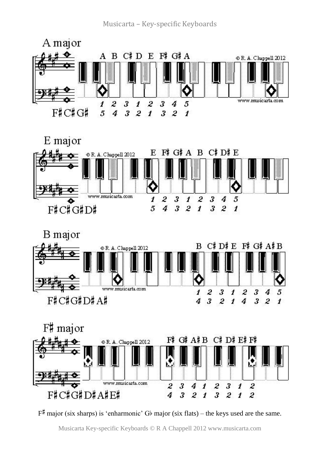







 $F^{\#}$  major (six sharps) is 'enharmonic' Gb major (six flats) – the keys used are the same.

Musicarta Key-specific Keyboards © R A Chappell 2012 www.musicarta.com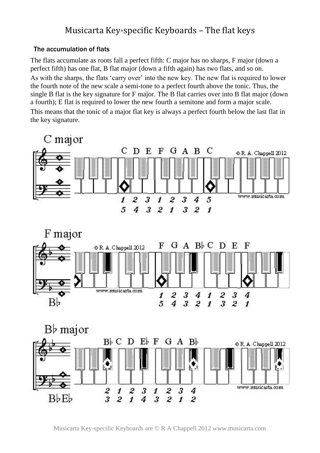## Musicarta Key-specific Keyboards – The flat keys

#### The accumulation of flats

The flats accumulate as roots fall a perfect fifth: C major has no sharps, F major (down a perfect fifth) has one flat, B flat major (down a fifth again) has two flats, and so on.

As with the sharps, the flats 'carry over' into the new key. The new flat is required to lower the fourth note of the new scale a semi-tone to a perfect fourth above the tonic. Thus, the single B flat is the key signature for F major. The B flat carries over into B flat major (down a fourth); E flat is required to lower the new fourth a semitone and form a major scale. This means that the tonic of a major flat key is always a perfect fourth below the last flat in the key signature.



Musicarta Key-specific Keyboards are © R A Chappell 2012 www.musicarta.com